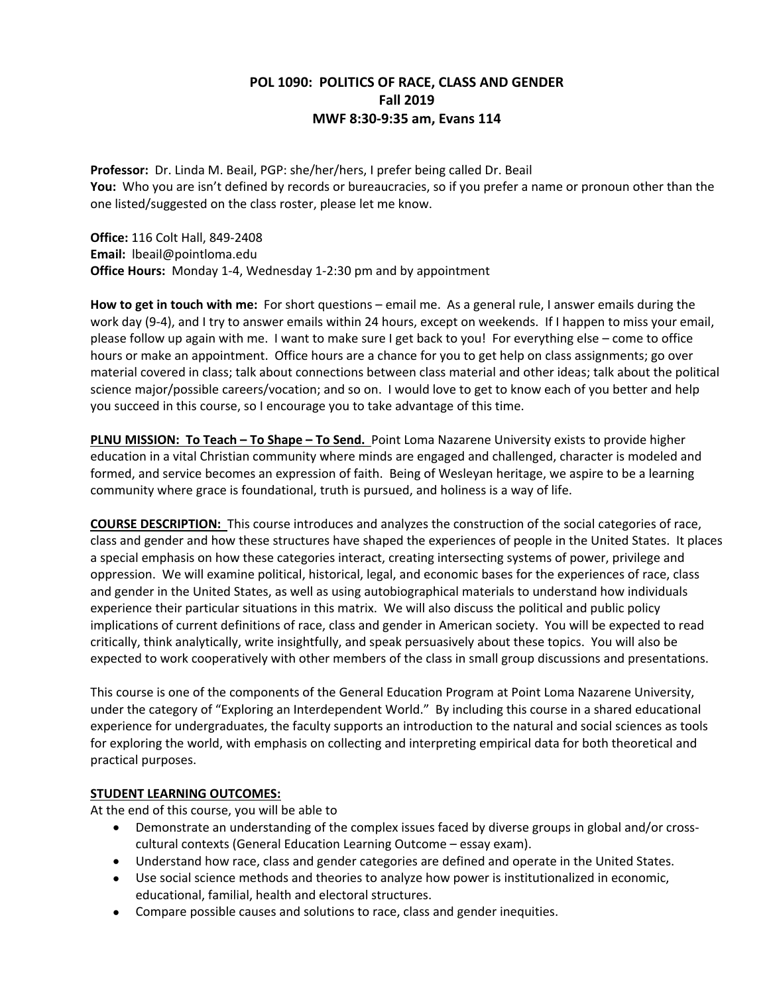# **POL 1090: POLITICS OF RACE, CLASS AND GENDER Fall 2019 MWF 8:30-9:35 am, Evans 114**

**Professor:** Dr. Linda M. Beail, PGP: she/her/hers, I prefer being called Dr. Beail **You:** Who you are isn't defined by records or bureaucracies, so if you prefer a name or pronoun other than the one listed/suggested on the class roster, please let me know.

**Office:** 116 Colt Hall, 849-2408 **Email:** lbeail@pointloma.edu **Office Hours:** Monday 1-4, Wednesday 1-2:30 pm and by appointment

**How to get in touch with me:** For short questions – email me. As a general rule, I answer emails during the work day (9-4), and I try to answer emails within 24 hours, except on weekends. If I happen to miss your email, please follow up again with me. I want to make sure I get back to you! For everything else – come to office hours or make an appointment. Office hours are a chance for you to get help on class assignments; go over material covered in class; talk about connections between class material and other ideas; talk about the political science major/possible careers/vocation; and so on. I would love to get to know each of you better and help you succeed in this course, so I encourage you to take advantage of this time.

**PLNU MISSION: To Teach – To Shape – To Send.** Point Loma Nazarene University exists to provide higher education in a vital Christian community where minds are engaged and challenged, character is modeled and formed, and service becomes an expression of faith. Being of Wesleyan heritage, we aspire to be a learning community where grace is foundational, truth is pursued, and holiness is a way of life.

**COURSE DESCRIPTION:** This course introduces and analyzes the construction of the social categories of race, class and gender and how these structures have shaped the experiences of people in the United States. It places a special emphasis on how these categories interact, creating intersecting systems of power, privilege and oppression. We will examine political, historical, legal, and economic bases for the experiences of race, class and gender in the United States, as well as using autobiographical materials to understand how individuals experience their particular situations in this matrix. We will also discuss the political and public policy implications of current definitions of race, class and gender in American society. You will be expected to read critically, think analytically, write insightfully, and speak persuasively about these topics. You will also be expected to work cooperatively with other members of the class in small group discussions and presentations.

This course is one of the components of the General Education Program at Point Loma Nazarene University, under the category of "Exploring an Interdependent World." By including this course in a shared educational experience for undergraduates, the faculty supports an introduction to the natural and social sciences as tools for exploring the world, with emphasis on collecting and interpreting empirical data for both theoretical and practical purposes.

# **STUDENT LEARNING OUTCOMES:**

At the end of this course, you will be able to

- Demonstrate an understanding of the complex issues faced by diverse groups in global and/or crosscultural contexts (General Education Learning Outcome – essay exam).
- Understand how race, class and gender categories are defined and operate in the United States.
- Use social science methods and theories to analyze how power is institutionalized in economic, educational, familial, health and electoral structures.
- Compare possible causes and solutions to race, class and gender inequities.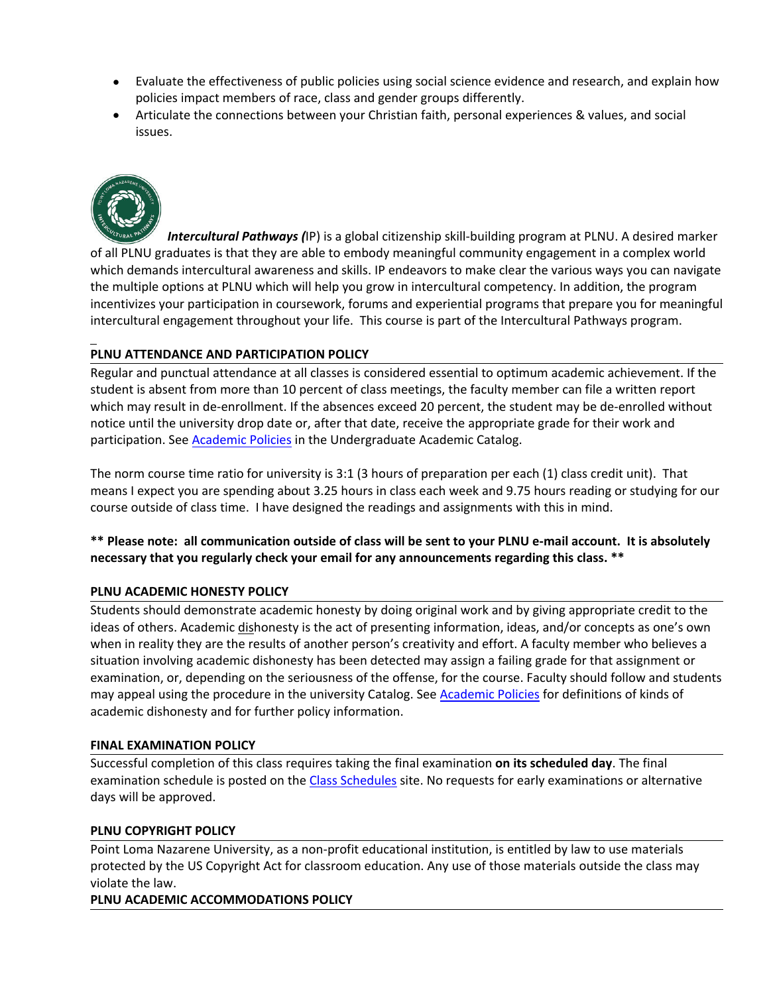- Evaluate the effectiveness of public policies using social science evidence and research, and explain how policies impact members of race, class and gender groups differently.
- Articulate the connections between your Christian faith, personal experiences & values, and social issues.



 *Intercultural Pathways (*IP) is a global citizenship skill-building program at PLNU. A desired marker of all PLNU graduates is that they are able to embody meaningful community engagement in a complex world which demands intercultural awareness and skills. IP endeavors to make clear the various ways you can navigate the multiple options at PLNU which will help you grow in intercultural competency. In addition, the program incentivizes your participation in coursework, forums and experiential programs that prepare you for meaningful intercultural engagement throughout your life. This course is part of the Intercultural Pathways program.

# **PLNU ATTENDANCE AND PARTICIPATION POLICY**

Regular and punctual attendance at all classes is considered essential to optimum academic achievement. If the student is absent from more than 10 percent of class meetings, the faculty member can file a written report which may result in de-enrollment. If the absences exceed 20 percent, the student may be de-enrolled without notice until the university drop date or, after that date, receive the appropriate grade for their work and participation. See Academic Policies in the Undergraduate Academic Catalog.

The norm course time ratio for university is 3:1 (3 hours of preparation per each (1) class credit unit). That means I expect you are spending about 3.25 hours in class each week and 9.75 hours reading or studying for our course outside of class time. I have designed the readings and assignments with this in mind.

# **\*\* Please note: all communication outside of class will be sent to your PLNU e-mail account. It is absolutely necessary that you regularly check your email for any announcements regarding this class. \*\***

# **PLNU ACADEMIC HONESTY POLICY**

Students should demonstrate academic honesty by doing original work and by giving appropriate credit to the ideas of others. Academic dishonesty is the act of presenting information, ideas, and/or concepts as one's own when in reality they are the results of another person's creativity and effort. A faculty member who believes a situation involving academic dishonesty has been detected may assign a failing grade for that assignment or examination, or, depending on the seriousness of the offense, for the course. Faculty should follow and students may appeal using the procedure in the university Catalog. See **Academic Policies** for definitions of kinds of academic dishonesty and for further policy information.

# **FINAL EXAMINATION POLICY**

Successful completion of this class requires taking the final examination **on its scheduled day**. The final examination schedule is posted on the Class Schedules site. No requests for early examinations or alternative days will be approved.

# **PLNU COPYRIGHT POLICY**

Point Loma Nazarene University, as a non-profit educational institution, is entitled by law to use materials protected by the US Copyright Act for classroom education. Any use of those materials outside the class may violate the law.

# **PLNU ACADEMIC ACCOMMODATIONS POLICY**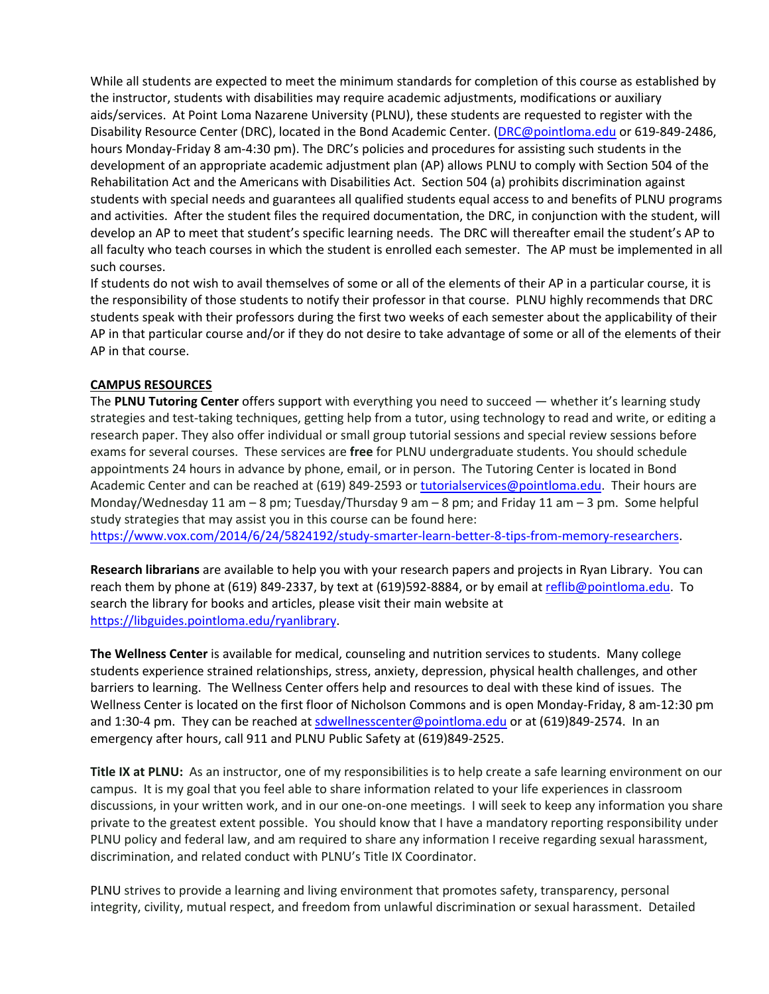While all students are expected to meet the minimum standards for completion of this course as established by the instructor, students with disabilities may require academic adjustments, modifications or auxiliary aids/services. At Point Loma Nazarene University (PLNU), these students are requested to register with the Disability Resource Center (DRC), located in the Bond Academic Center. (**DRC@pointloma.edu** or 619-849-2486, hours Monday-Friday 8 am-4:30 pm). The DRC's policies and procedures for assisting such students in the development of an appropriate academic adjustment plan (AP) allows PLNU to comply with Section 504 of the Rehabilitation Act and the Americans with Disabilities Act. Section 504 (a) prohibits discrimination against students with special needs and guarantees all qualified students equal access to and benefits of PLNU programs and activities. After the student files the required documentation, the DRC, in conjunction with the student, will develop an AP to meet that student's specific learning needs. The DRC will thereafter email the student's AP to all faculty who teach courses in which the student is enrolled each semester. The AP must be implemented in all such courses.

If students do not wish to avail themselves of some or all of the elements of their AP in a particular course, it is the responsibility of those students to notify their professor in that course. PLNU highly recommends that DRC students speak with their professors during the first two weeks of each semester about the applicability of their AP in that particular course and/or if they do not desire to take advantage of some or all of the elements of their AP in that course.

# **CAMPUS RESOURCES**

The **PLNU Tutoring Center** offers support with everything you need to succeed — whether it's learning study strategies and test-taking techniques, getting help from a tutor, using technology to read and write, or editing a research paper. They also offer individual or small group tutorial sessions and special review sessions before exams for several courses. These services are **free** for PLNU undergraduate students. You should schedule appointments 24 hours in advance by phone, email, or in person. The Tutoring Center is located in Bond Academic Center and can be reached at (619) 849-2593 or tutorialservices@pointloma.edu. Their hours are Monday/Wednesday 11 am – 8 pm; Tuesday/Thursday 9 am – 8 pm; and Friday 11 am – 3 pm. Some helpful study strategies that may assist you in this course can be found here:

https://www.vox.com/2014/6/24/5824192/study-smarter-learn-better-8-tips-from-memory-researchers.

**Research librarians** are available to help you with your research papers and projects in Ryan Library. You can reach them by phone at (619) 849-2337, by text at (619)592-8884, or by email at reflib@pointloma.edu. To search the library for books and articles, please visit their main website at https://libguides.pointloma.edu/ryanlibrary.

**The Wellness Center** is available for medical, counseling and nutrition services to students. Many college students experience strained relationships, stress, anxiety, depression, physical health challenges, and other barriers to learning. The Wellness Center offers help and resources to deal with these kind of issues. The Wellness Center is located on the first floor of Nicholson Commons and is open Monday-Friday, 8 am-12:30 pm and 1:30-4 pm. They can be reached at sdwellnesscenter@pointloma.edu or at (619)849-2574. In an emergency after hours, call 911 and PLNU Public Safety at (619)849-2525.

**Title IX at PLNU:** As an instructor, one of my responsibilities is to help create a safe learning environment on our campus. It is my goal that you feel able to share information related to your life experiences in classroom discussions, in your written work, and in our one-on-one meetings. I will seek to keep any information you share private to the greatest extent possible. You should know that I have a mandatory reporting responsibility under PLNU policy and federal law, and am required to share any information I receive regarding sexual harassment, discrimination, and related conduct with PLNU's Title IX Coordinator.

PLNU strives to provide a learning and living environment that promotes safety, transparency, personal integrity, civility, mutual respect, and freedom from unlawful discrimination or sexual harassment. Detailed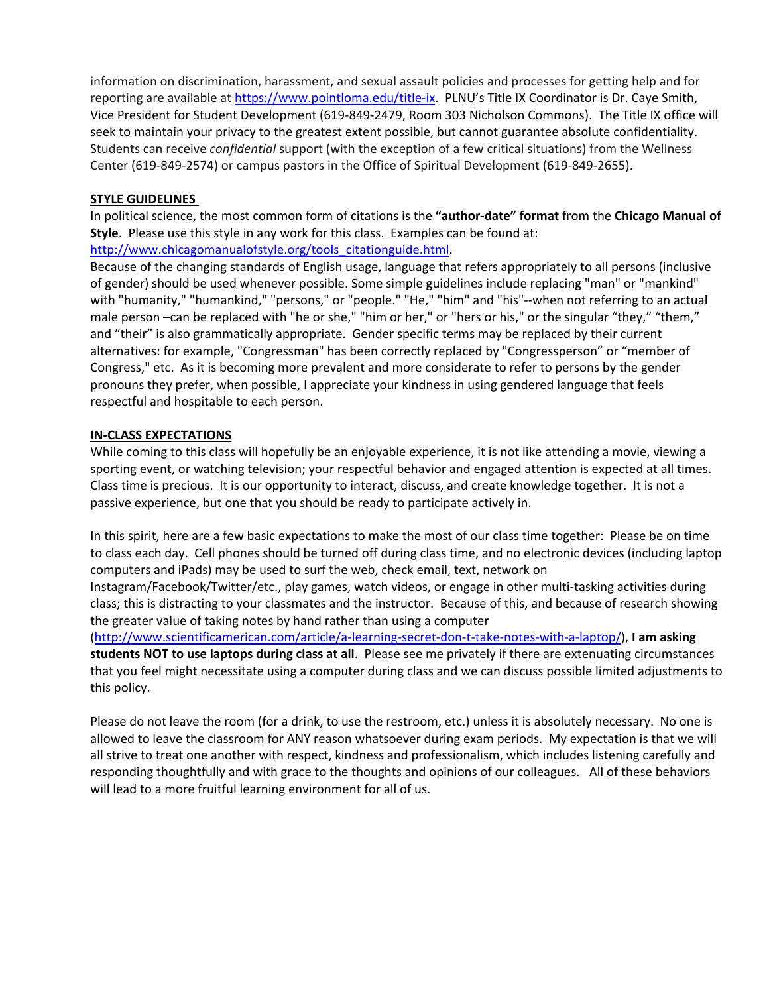information on discrimination, harassment, and sexual assault policies and processes for getting help and for reporting are available at https://www.pointloma.edu/title-ix. PLNU's Title IX Coordinator is Dr. Caye Smith, Vice President for Student Development (619-849-2479, Room 303 Nicholson Commons). The Title IX office will seek to maintain your privacy to the greatest extent possible, but cannot guarantee absolute confidentiality. Students can receive *confidential* support (with the exception of a few critical situations) from the Wellness Center (619-849-2574) or campus pastors in the Office of Spiritual Development (619-849-2655).

# **STYLE GUIDELINES**

In political science, the most common form of citations is the **"author-date" format** from the **Chicago Manual of Style**. Please use this style in any work for this class. Examples can be found at: http://www.chicagomanualofstyle.org/tools\_citationguide.html.

Because of the changing standards of English usage, language that refers appropriately to all persons (inclusive of gender) should be used whenever possible. Some simple guidelines include replacing "man" or "mankind" with "humanity," "humankind," "persons," or "people." "He," "him" and "his"--when not referring to an actual male person -can be replaced with "he or she," "him or her," or "hers or his," or the singular "they," "them," and "their" is also grammatically appropriate. Gender specific terms may be replaced by their current alternatives: for example, "Congressman" has been correctly replaced by "Congressperson" or "member of Congress," etc. As it is becoming more prevalent and more considerate to refer to persons by the gender pronouns they prefer, when possible, I appreciate your kindness in using gendered language that feels respectful and hospitable to each person.

# **IN-CLASS EXPECTATIONS**

While coming to this class will hopefully be an enjoyable experience, it is not like attending a movie, viewing a sporting event, or watching television; your respectful behavior and engaged attention is expected at all times. Class time is precious. It is our opportunity to interact, discuss, and create knowledge together. It is not a passive experience, but one that you should be ready to participate actively in.

In this spirit, here are a few basic expectations to make the most of our class time together: Please be on time to class each day. Cell phones should be turned off during class time, and no electronic devices (including laptop computers and iPads) may be used to surf the web, check email, text, network on

Instagram/Facebook/Twitter/etc., play games, watch videos, or engage in other multi-tasking activities during class; this is distracting to your classmates and the instructor. Because of this, and because of research showing the greater value of taking notes by hand rather than using a computer

(http://www.scientificamerican.com/article/a-learning-secret-don-t-take-notes-with-a-laptop/), **I am asking students NOT to use laptops during class at all**. Please see me privately if there are extenuating circumstances that you feel might necessitate using a computer during class and we can discuss possible limited adjustments to this policy.

Please do not leave the room (for a drink, to use the restroom, etc.) unless it is absolutely necessary. No one is allowed to leave the classroom for ANY reason whatsoever during exam periods. My expectation is that we will all strive to treat one another with respect, kindness and professionalism, which includes listening carefully and responding thoughtfully and with grace to the thoughts and opinions of our colleagues. All of these behaviors will lead to a more fruitful learning environment for all of us.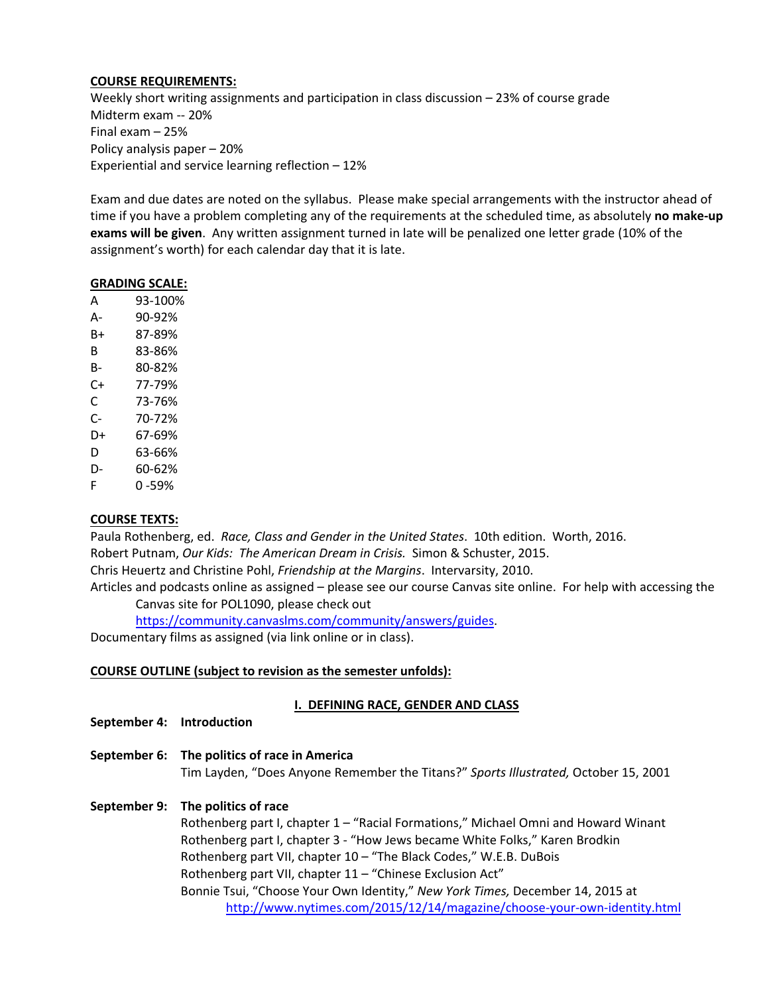#### **COURSE REQUIREMENTS:**

Weekly short writing assignments and participation in class discussion – 23% of course grade Midterm exam -- 20% Final exam – 25% Policy analysis paper – 20% Experiential and service learning reflection – 12%

Exam and due dates are noted on the syllabus. Please make special arrangements with the instructor ahead of time if you have a problem completing any of the requirements at the scheduled time, as absolutely **no make-up exams will be given**. Any written assignment turned in late will be penalized one letter grade (10% of the assignment's worth) for each calendar day that it is late.

#### **GRADING SCALE:**

| Α  | 93-100%   |
|----|-----------|
| А- | 90-92%    |
| B+ | 87-89%    |
| B  | 83-86%    |
| B- | 80-82%    |
| C+ | 77-79%    |
| С  | 73-76%    |
| C- | 70-72%    |
| D+ | 67-69%    |
| D  | 63-66%    |
| D- | 60-62%    |
| F  | $0 - 59%$ |

# **COURSE TEXTS:**

Paula Rothenberg, ed. *Race, Class and Gender in the United States*. 10th edition. Worth, 2016. Robert Putnam, *Our Kids: The American Dream in Crisis.* Simon & Schuster, 2015. Chris Heuertz and Christine Pohl, *Friendship at the Margins*. Intervarsity, 2010. Articles and podcasts online as assigned – please see our course Canvas site online. For help with accessing the

Canvas site for POL1090, please check out

https://community.canvaslms.com/community/answers/guides.

Documentary films as assigned (via link online or in class).

#### **COURSE OUTLINE (subject to revision as the semester unfolds):**

# **I. DEFINING RACE, GENDER AND CLASS**

- **September 4: Introduction**
- **September 6: The politics of race in America** Tim Layden, "Does Anyone Remember the Titans?" *Sports Illustrated,* October 15, 2001

# **September 9: The politics of race**

Rothenberg part I, chapter 1 – "Racial Formations," Michael Omni and Howard Winant Rothenberg part I, chapter 3 - "How Jews became White Folks," Karen Brodkin Rothenberg part VII, chapter 10 – "The Black Codes," W.E.B. DuBois Rothenberg part VII, chapter 11 – "Chinese Exclusion Act" Bonnie Tsui, "Choose Your Own Identity," *New York Times,* December 14, 2015 at http://www.nytimes.com/2015/12/14/magazine/choose-your-own-identity.html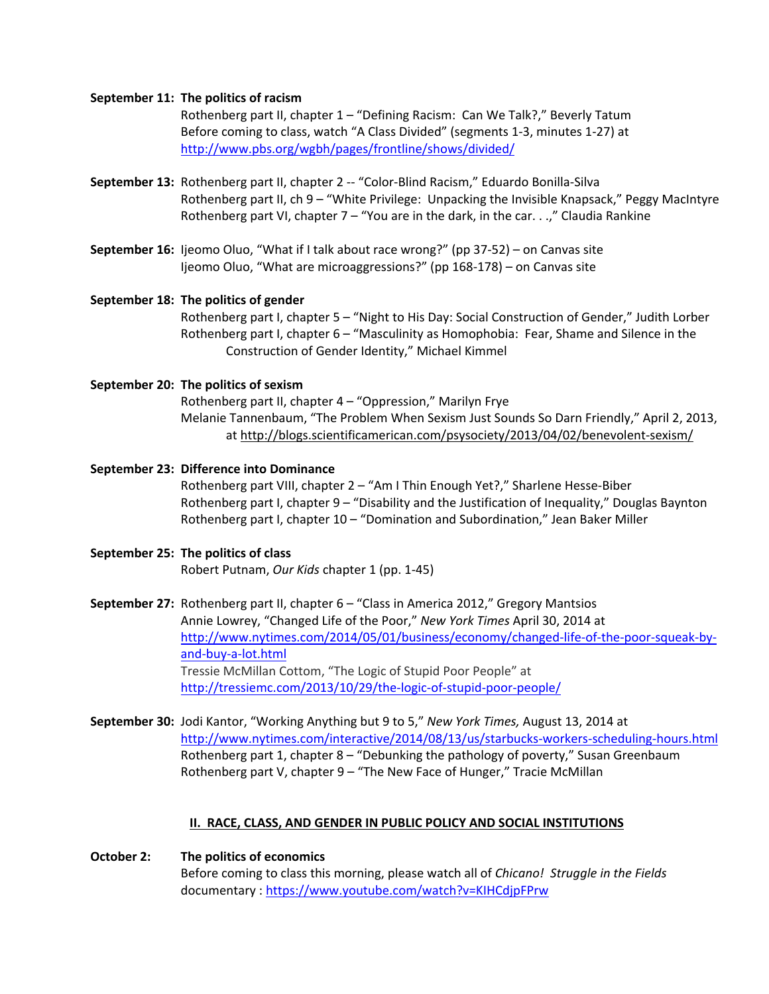#### **September 11: The politics of racism**

Rothenberg part II, chapter 1 – "Defining Racism: Can We Talk?," Beverly Tatum Before coming to class, watch "A Class Divided" (segments 1-3, minutes 1-27) at http://www.pbs.org/wgbh/pages/frontline/shows/divided/

- **September 13:** Rothenberg part II, chapter 2 -- "Color-Blind Racism," Eduardo Bonilla-Silva Rothenberg part II, ch 9 – "White Privilege: Unpacking the Invisible Knapsack," Peggy MacIntyre Rothenberg part VI, chapter 7 – "You are in the dark, in the car. . .," Claudia Rankine
- **September 16:** Ijeomo Oluo, "What if I talk about race wrong?" (pp 37-52) on Canvas site Ijeomo Oluo, "What are microaggressions?" (pp 168-178) – on Canvas site

# **September 18: The politics of gender**

Rothenberg part I, chapter 5 – "Night to His Day: Social Construction of Gender," Judith Lorber Rothenberg part I, chapter 6 – "Masculinity as Homophobia: Fear, Shame and Silence in the Construction of Gender Identity," Michael Kimmel

#### **September 20: The politics of sexism**

Rothenberg part II, chapter 4 – "Oppression," Marilyn Frye Melanie Tannenbaum, "The Problem When Sexism Just Sounds So Darn Friendly," April 2, 2013, at http://blogs.scientificamerican.com/psysociety/2013/04/02/benevolent-sexism/

**September 23: Difference into Dominance** Rothenberg part VIII, chapter 2 – "Am I Thin Enough Yet?," Sharlene Hesse-Biber Rothenberg part I, chapter 9 – "Disability and the Justification of Inequality," Douglas Baynton Rothenberg part I, chapter 10 – "Domination and Subordination," Jean Baker Miller

# **September 25: The politics of class** Robert Putnam, *Our Kids* chapter 1 (pp. 1-45)

**September 27:** Rothenberg part II, chapter 6 – "Class in America 2012," Gregory Mantsios Annie Lowrey, "Changed Life of the Poor," *New York Times* April 30, 2014 at http://www.nytimes.com/2014/05/01/business/economy/changed-life-of-the-poor-squeak-byand-buy-a-lot.html Tressie McMillan Cottom, "The Logic of Stupid Poor People" at http://tressiemc.com/2013/10/29/the-logic-of-stupid-poor-people/

**September 30:** Jodi Kantor, "Working Anything but 9 to 5," *New York Times,* August 13, 2014 at http://www.nytimes.com/interactive/2014/08/13/us/starbucks-workers-scheduling-hours.html Rothenberg part 1, chapter 8 – "Debunking the pathology of poverty," Susan Greenbaum Rothenberg part V, chapter 9 – "The New Face of Hunger," Tracie McMillan

# **II. RACE, CLASS, AND GENDER IN PUBLIC POLICY AND SOCIAL INSTITUTIONS**

**October 2: The politics of economics** Before coming to class this morning, please watch all of *Chicano! Struggle in the Fields* documentary : https://www.youtube.com/watch?v=KIHCdjpFPrw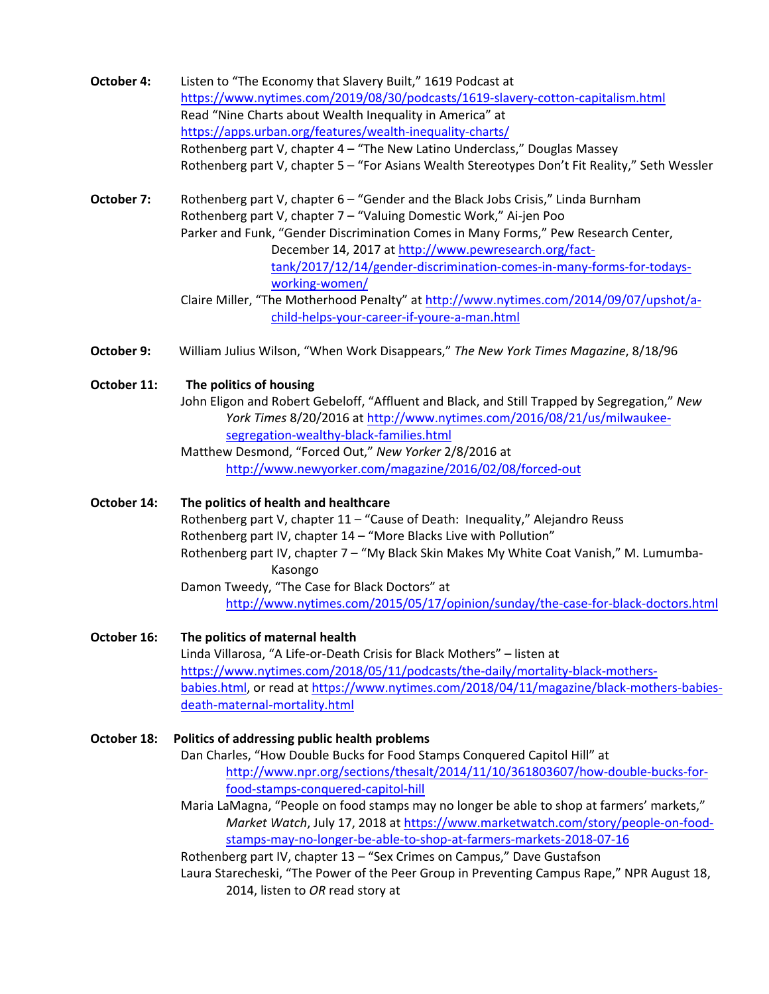- **October 4:** Listen to "The Economy that Slavery Built," 1619 Podcast at https://www.nytimes.com/2019/08/30/podcasts/1619-slavery-cotton-capitalism.html Read "Nine Charts about Wealth Inequality in America" at https://apps.urban.org/features/wealth-inequality-charts/ Rothenberg part V, chapter 4 – "The New Latino Underclass," Douglas Massey Rothenberg part V, chapter 5 – "For Asians Wealth Stereotypes Don't Fit Reality," Seth Wessler
- **October 7:** Rothenberg part V, chapter 6 "Gender and the Black Jobs Crisis," Linda Burnham Rothenberg part V, chapter 7 – "Valuing Domestic Work," Ai-jen Poo Parker and Funk, "Gender Discrimination Comes in Many Forms," Pew Research Center, December 14, 2017 at http://www.pewresearch.org/facttank/2017/12/14/gender-discrimination-comes-in-many-forms-for-todaysworking-women/ Claire Miller, "The Motherhood Penalty" at http://www.nytimes.com/2014/09/07/upshot/a
	- child-helps-your-career-if-youre-a-man.html
- **October 9:** William Julius Wilson, "When Work Disappears," *The New York Times Magazine*, 8/18/96

# **October 11: The politics of housing**

John Eligon and Robert Gebeloff, "Affluent and Black, and Still Trapped by Segregation," *New York Times* 8/20/2016 at http://www.nytimes.com/2016/08/21/us/milwaukeesegregation-wealthy-black-families.html

Matthew Desmond, "Forced Out," *New Yorker* 2/8/2016 at http://www.newyorker.com/magazine/2016/02/08/forced-out

**October 14: The politics of health and healthcare** Rothenberg part V, chapter 11 – "Cause of Death: Inequality," Alejandro Reuss Rothenberg part IV, chapter 14 – "More Blacks Live with Pollution" Rothenberg part IV, chapter 7 – "My Black Skin Makes My White Coat Vanish," M. Lumumba-Kasongo Damon Tweedy, "The Case for Black Doctors" at http://www.nytimes.com/2015/05/17/opinion/sunday/the-case-for-black-doctors.html

**October 16: The politics of maternal health** Linda Villarosa, "A Life-or-Death Crisis for Black Mothers" – listen at https://www.nytimes.com/2018/05/11/podcasts/the-daily/mortality-black-mothersbabies.html, or read at https://www.nytimes.com/2018/04/11/magazine/black-mothers-babiesdeath-maternal-mortality.html

**October 18: Politics of addressing public health problems** Dan Charles, "How Double Bucks for Food Stamps Conquered Capitol Hill" at http://www.npr.org/sections/thesalt/2014/11/10/361803607/how-double-bucks-forfood-stamps-conquered-capitol-hill

Maria LaMagna, "People on food stamps may no longer be able to shop at farmers' markets," *Market Watch*, July 17, 2018 at https://www.marketwatch.com/story/people-on-foodstamps-may-no-longer-be-able-to-shop-at-farmers-markets-2018-07-16

Rothenberg part IV, chapter 13 – "Sex Crimes on Campus," Dave Gustafson

Laura Starecheski, "The Power of the Peer Group in Preventing Campus Rape," NPR August 18, 2014, listen to *OR* read story at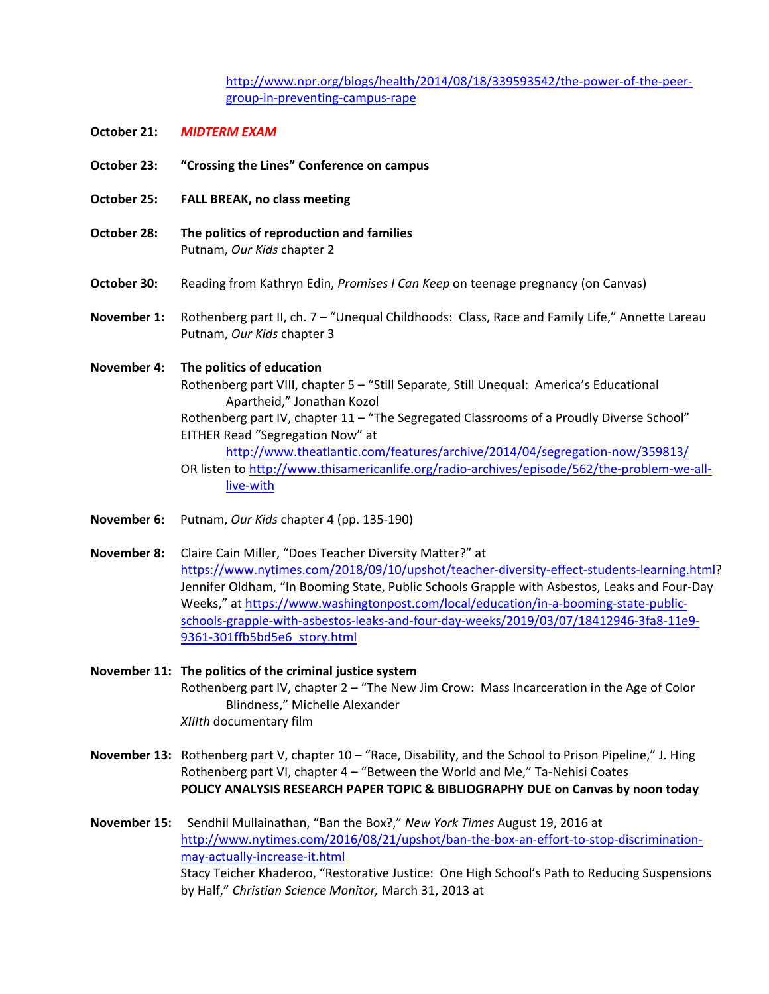http://www.npr.org/blogs/health/2014/08/18/339593542/the-power-of-the-peergroup-in-preventing-campus-rape

- **October 21:** *MIDTERM EXAM*
- **October 23: "Crossing the Lines" Conference on campus**
- **October 25: FALL BREAK, no class meeting**
- **October 28: The politics of reproduction and families** Putnam, *Our Kids* chapter 2
- **October 30:** Reading from Kathryn Edin, *Promises I Can Keep* on teenage pregnancy (on Canvas)
- **November 1:** Rothenberg part II, ch. 7 "Unequal Childhoods: Class, Race and Family Life," Annette Lareau Putnam, *Our Kids* chapter 3

**November 4: The politics of education** Rothenberg part VIII, chapter 5 – "Still Separate, Still Unequal: America's Educational Apartheid," Jonathan Kozol Rothenberg part IV, chapter 11 - "The Segregated Classrooms of a Proudly Diverse School" EITHER Read "Segregation Now" at http://www.theatlantic.com/features/archive/2014/04/segregation-now/359813/ OR listen to http://www.thisamericanlife.org/radio-archives/episode/562/the-problem-we-alllive-with

- **November 6:** Putnam, *Our Kids* chapter 4 (pp. 135-190)
- **November 8:** Claire Cain Miller, "Does Teacher Diversity Matter?" at https://www.nytimes.com/2018/09/10/upshot/teacher-diversity-effect-students-learning.html? Jennifer Oldham, "In Booming State, Public Schools Grapple with Asbestos, Leaks and Four-Day Weeks," at https://www.washingtonpost.com/local/education/in-a-booming-state-publicschools-grapple-with-asbestos-leaks-and-four-day-weeks/2019/03/07/18412946-3fa8-11e9- 9361-301ffb5bd5e6\_story.html

**November 11: The politics of the criminal justice system**  Rothenberg part IV, chapter 2 – "The New Jim Crow: Mass Incarceration in the Age of Color Blindness," Michelle Alexander *XIIIth* documentary film

**November 13:** Rothenberg part V, chapter 10 – "Race, Disability, and the School to Prison Pipeline," J. Hing Rothenberg part VI, chapter 4 – "Between the World and Me," Ta-Nehisi Coates **POLICY ANALYSIS RESEARCH PAPER TOPIC & BIBLIOGRAPHY DUE on Canvas by noon today**

**November 15:** Sendhil Mullainathan, "Ban the Box?," *New York Times* August 19, 2016 at http://www.nytimes.com/2016/08/21/upshot/ban-the-box-an-effort-to-stop-discriminationmay-actually-increase-it.html Stacy Teicher Khaderoo, "Restorative Justice: One High School's Path to Reducing Suspensions by Half," *Christian Science Monitor,* March 31, 2013 at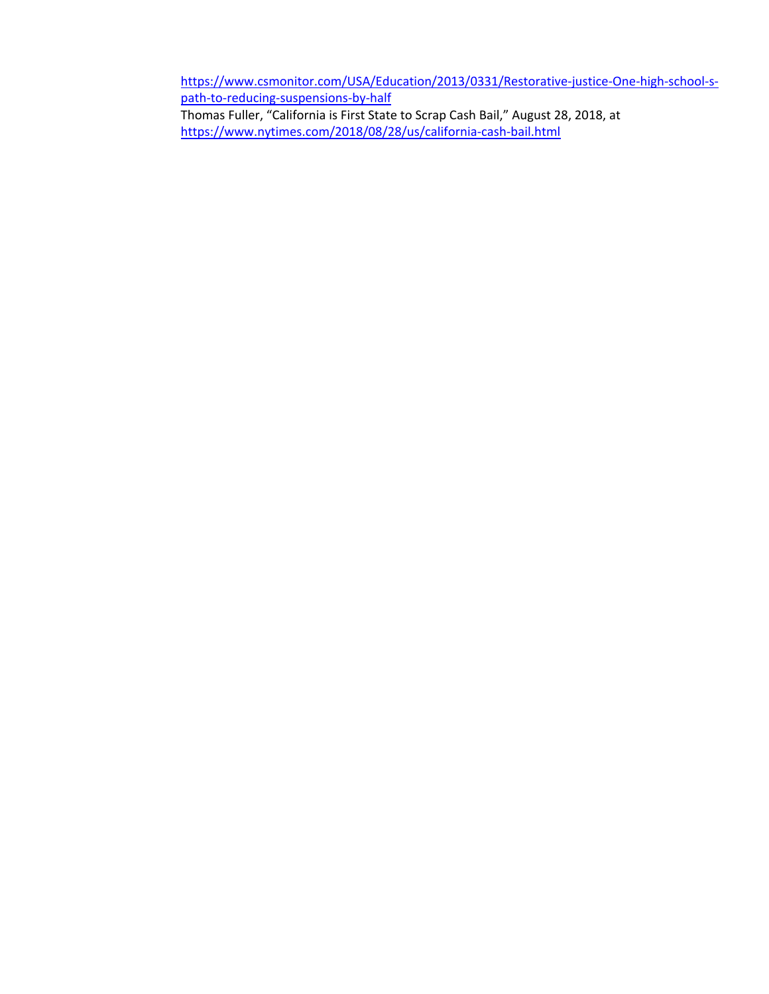https://www.csmonitor.com/USA/Education/2013/0331/Restorative-justice-One-high-school-spath-to-reducing-suspensions-by-half Thomas Fuller, "California is First State to Scrap Cash Bail," August 28, 2018, at https://www.nytimes.com/2018/08/28/us/california-cash-bail.html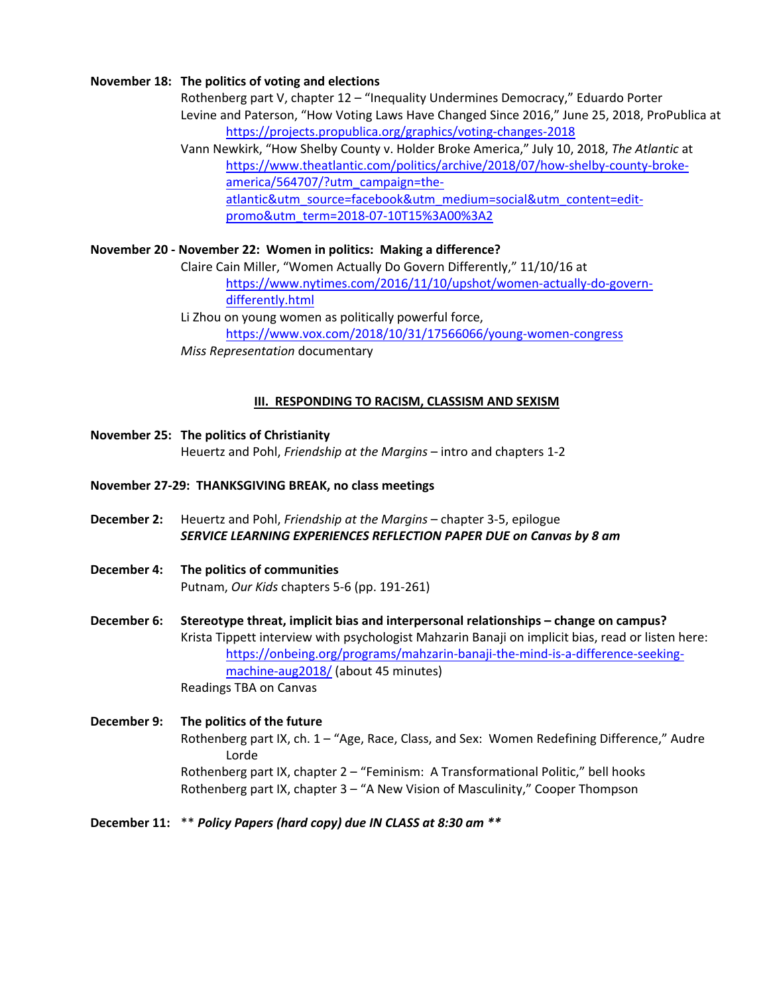#### **November 18: The politics of voting and elections**

Rothenberg part V, chapter 12 – "Inequality Undermines Democracy," Eduardo Porter Levine and Paterson, "How Voting Laws Have Changed Since 2016," June 25, 2018, ProPublica at https://projects.propublica.org/graphics/voting-changes-2018

Vann Newkirk, "How Shelby County v. Holder Broke America," July 10, 2018, *The Atlantic* at https://www.theatlantic.com/politics/archive/2018/07/how-shelby-county-brokeamerica/564707/?utm\_campaign=theatlantic&utm\_source=facebook&utm\_medium=social&utm\_content=editpromo&utm\_term=2018-07-10T15%3A00%3A2

# **November 20 - November 22: Women in politics: Making a difference?**

Claire Cain Miller, "Women Actually Do Govern Differently," 11/10/16 at https://www.nytimes.com/2016/11/10/upshot/women-actually-do-governdifferently.html

Li Zhou on young women as politically powerful force, https://www.vox.com/2018/10/31/17566066/young-women-congress *Miss Representation* documentary

#### **III. RESPONDING TO RACISM, CLASSISM AND SEXISM**

# **November 25: The politics of Christianity** Heuertz and Pohl, *Friendship at the Margins* – intro and chapters 1-2

#### **November 27-29: THANKSGIVING BREAK, no class meetings**

- **December 2:** Heuertz and Pohl, *Friendship at the Margins* chapter 3-5, epilogue *SERVICE LEARNING EXPERIENCES REFLECTION PAPER DUE on Canvas by 8 am*
- **December 4: The politics of communities** Putnam, *Our Kids* chapters 5-6 (pp. 191-261)

**December 6: Stereotype threat, implicit bias and interpersonal relationships – change on campus?** Krista Tippett interview with psychologist Mahzarin Banaji on implicit bias, read or listen here: https://onbeing.org/programs/mahzarin-banaji-the-mind-is-a-difference-seekingmachine-aug2018/ (about 45 minutes) Readings TBA on Canvas

# **December 9: The politics of the future** Rothenberg part IX, ch. 1 – "Age, Race, Class, and Sex: Women Redefining Difference," Audre Lorde Rothenberg part IX, chapter 2 – "Feminism: A Transformational Politic," bell hooks Rothenberg part IX, chapter 3 – "A New Vision of Masculinity," Cooper Thompson

#### **December 11:** \*\* *Policy Papers (hard copy) due IN CLASS at 8:30 am \*\**